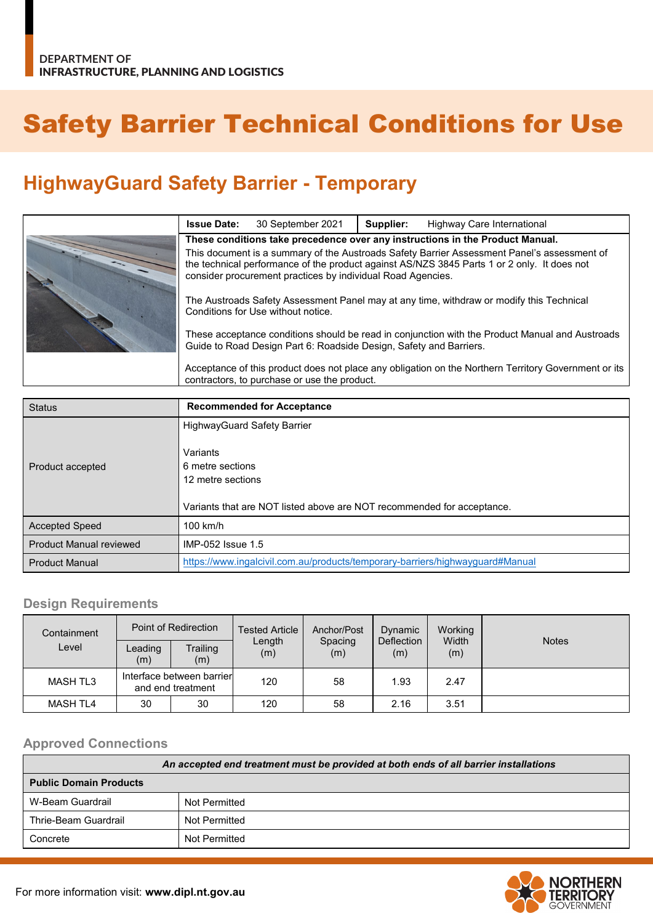# Safety Barrier Technical Conditions for Use

## **HighwayGuard Safety Barrier - Temporary**

| <b>Issue Date:</b>                                                                                                                                                                                                                                        | 30 September 2021 | Supplier: | Highway Care International |
|-----------------------------------------------------------------------------------------------------------------------------------------------------------------------------------------------------------------------------------------------------------|-------------------|-----------|----------------------------|
| These conditions take precedence over any instructions in the Product Manual.                                                                                                                                                                             |                   |           |                            |
| This document is a summary of the Austroads Safety Barrier Assessment Panel's assessment of<br>the technical performance of the product against AS/NZS 3845 Parts 1 or 2 only. It does not<br>consider procurement practices by individual Road Agencies. |                   |           |                            |
| The Austroads Safety Assessment Panel may at any time, withdraw or modify this Technical<br>Conditions for Use without notice.                                                                                                                            |                   |           |                            |
| These acceptance conditions should be read in conjunction with the Product Manual and Austroads<br>Guide to Road Design Part 6: Roadside Design, Safety and Barriers.                                                                                     |                   |           |                            |
| Acceptance of this product does not place any obligation on the Northern Territory Government or its<br>contractors, to purchase or use the product.                                                                                                      |                   |           |                            |

| <b>Status</b>                  | <b>Recommended for Acceptance</b>                                             |  |
|--------------------------------|-------------------------------------------------------------------------------|--|
|                                | <b>HighwayGuard Safety Barrier</b>                                            |  |
|                                | Variants                                                                      |  |
| Product accepted               | 6 metre sections                                                              |  |
|                                | 12 metre sections                                                             |  |
|                                |                                                                               |  |
|                                | Variants that are NOT listed above are NOT recommended for acceptance.        |  |
| <b>Accepted Speed</b>          | $100$ km/h                                                                    |  |
| <b>Product Manual reviewed</b> | IMP-052 Issue 1.5                                                             |  |
| <b>Product Manual</b>          | https://www.ingalcivil.com.au/products/temporary-barriers/highwayguard#Manual |  |

#### **Design Requirements**

| Containment     | Point of Redirection                           |                 | <b>Tested Article</b> | Anchor/Post    | Dynamic           | Working      |              |
|-----------------|------------------------------------------------|-----------------|-----------------------|----------------|-------------------|--------------|--------------|
| Level           | Leading<br>(m)                                 | Trailing<br>(m) | Length<br>(m)         | Spacing<br>(m) | Deflection<br>(m) | Width<br>(m) | <b>Notes</b> |
| <b>MASH TL3</b> | Interface between barrier<br>and end treatment |                 | 120                   | 58             | 1.93              | 2.47         |              |
| <b>MASH TL4</b> | 30                                             | 30              | 120                   | 58             | 2.16              | 3.51         |              |

#### **Approved Connections**

| An accepted end treatment must be provided at both ends of all barrier installations |               |  |  |
|--------------------------------------------------------------------------------------|---------------|--|--|
| <b>Public Domain Products</b>                                                        |               |  |  |
| W-Beam Guardrail                                                                     | Not Permitted |  |  |
| Thrie-Beam Guardrail                                                                 | Not Permitted |  |  |
| Concrete                                                                             | Not Permitted |  |  |

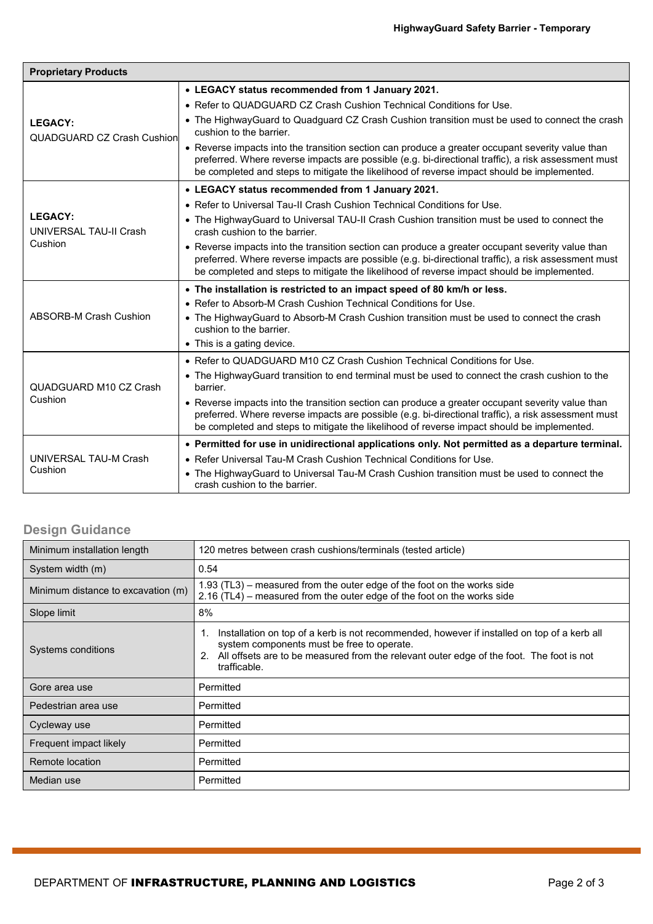| <b>Proprietary Products</b>                         |                                                                                                                                                                                                                                                                                                       |  |  |  |
|-----------------------------------------------------|-------------------------------------------------------------------------------------------------------------------------------------------------------------------------------------------------------------------------------------------------------------------------------------------------------|--|--|--|
| <b>LEGACY:</b><br><b>QUADGUARD CZ Crash Cushion</b> | • LEGACY status recommended from 1 January 2021.                                                                                                                                                                                                                                                      |  |  |  |
|                                                     | • Refer to QUADGUARD CZ Crash Cushion Technical Conditions for Use.                                                                                                                                                                                                                                   |  |  |  |
|                                                     | • The HighwayGuard to Quadguard CZ Crash Cushion transition must be used to connect the crash<br>cushion to the barrier.                                                                                                                                                                              |  |  |  |
|                                                     | • Reverse impacts into the transition section can produce a greater occupant severity value than<br>preferred. Where reverse impacts are possible (e.g. bi-directional traffic), a risk assessment must<br>be completed and steps to mitigate the likelihood of reverse impact should be implemented. |  |  |  |
|                                                     | • LEGACY status recommended from 1 January 2021.                                                                                                                                                                                                                                                      |  |  |  |
|                                                     | • Refer to Universal Tau-II Crash Cushion Technical Conditions for Use.                                                                                                                                                                                                                               |  |  |  |
| <b>LEGACY:</b><br>UNIVERSAL TAU-II Crash<br>Cushion | • The HighwayGuard to Universal TAU-II Crash Cushion transition must be used to connect the<br>crash cushion to the barrier.                                                                                                                                                                          |  |  |  |
|                                                     | • Reverse impacts into the transition section can produce a greater occupant severity value than<br>preferred. Where reverse impacts are possible (e.g. bi-directional traffic), a risk assessment must<br>be completed and steps to mitigate the likelihood of reverse impact should be implemented. |  |  |  |
|                                                     | • The installation is restricted to an impact speed of 80 km/h or less.                                                                                                                                                                                                                               |  |  |  |
|                                                     | • Refer to Absorb-M Crash Cushion Technical Conditions for Use.                                                                                                                                                                                                                                       |  |  |  |
| <b>ABSORB-M Crash Cushion</b>                       | • The HighwayGuard to Absorb-M Crash Cushion transition must be used to connect the crash<br>cushion to the barrier.                                                                                                                                                                                  |  |  |  |
|                                                     | • This is a gating device.                                                                                                                                                                                                                                                                            |  |  |  |
|                                                     | . Refer to QUADGUARD M10 CZ Crash Cushion Technical Conditions for Use.                                                                                                                                                                                                                               |  |  |  |
| QUADGUARD M10 CZ Crash<br>Cushion                   | • The HighwayGuard transition to end terminal must be used to connect the crash cushion to the<br>barrier.                                                                                                                                                                                            |  |  |  |
|                                                     | • Reverse impacts into the transition section can produce a greater occupant severity value than<br>preferred. Where reverse impacts are possible (e.g. bi-directional traffic), a risk assessment must<br>be completed and steps to mitigate the likelihood of reverse impact should be implemented. |  |  |  |
| UNIVERSAL TAU-M Crash<br>Cushion                    | • Permitted for use in unidirectional applications only. Not permitted as a departure terminal.                                                                                                                                                                                                       |  |  |  |
|                                                     | . Refer Universal Tau-M Crash Cushion Technical Conditions for Use.                                                                                                                                                                                                                                   |  |  |  |
|                                                     | • The HighwayGuard to Universal Tau-M Crash Cushion transition must be used to connect the<br>crash cushion to the barrier.                                                                                                                                                                           |  |  |  |

### **Design Guidance**

| Minimum installation length        | 120 metres between crash cushions/terminals (tested article)                                                                                                                                                                                                      |  |  |
|------------------------------------|-------------------------------------------------------------------------------------------------------------------------------------------------------------------------------------------------------------------------------------------------------------------|--|--|
| System width (m)                   | 0.54                                                                                                                                                                                                                                                              |  |  |
| Minimum distance to excavation (m) | $1.93$ (TL3) – measured from the outer edge of the foot on the works side<br>$2.16$ (TL4) – measured from the outer edge of the foot on the works side                                                                                                            |  |  |
| Slope limit                        | 8%                                                                                                                                                                                                                                                                |  |  |
| Systems conditions                 | Installation on top of a kerb is not recommended, however if installed on top of a kerb all<br>1.<br>system components must be free to operate.<br>All offsets are to be measured from the relevant outer edge of the foot. The foot is not<br>2.<br>trafficable. |  |  |
| Gore area use                      | Permitted                                                                                                                                                                                                                                                         |  |  |
| Pedestrian area use                | Permitted                                                                                                                                                                                                                                                         |  |  |
| Cycleway use                       | Permitted                                                                                                                                                                                                                                                         |  |  |
| Frequent impact likely             | Permitted                                                                                                                                                                                                                                                         |  |  |
| Remote location                    | Permitted                                                                                                                                                                                                                                                         |  |  |
| Median use                         | Permitted                                                                                                                                                                                                                                                         |  |  |